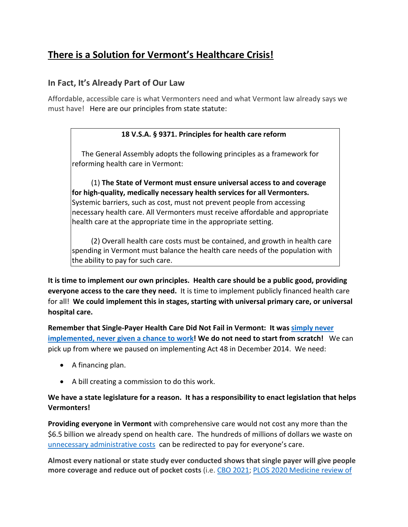# **There is a Solution for Vermont's Healthcare Crisis!**

### **In Fact, It's Already Part of Our Law**

Affordable, accessible care is what Vermonters need and what Vermont law already says we must have! Here are our principles from state statute:

#### **18 V.S.A. § 9371. Principles for health care reform**

The General Assembly adopts the following principles as a framework for reforming health care in Vermont:

(1) **The State of Vermont must ensure universal access to and coverage for high-quality, medically necessary health services for all Vermonters.** Systemic barriers, such as cost, must not prevent people from accessing necessary health care. All Vermonters must receive affordable and appropriate health care at the appropriate time in the appropriate setting.

(2) Overall health care costs must be contained, and growth in health care spending in Vermont must balance the health care needs of the population with the ability to pay for such care.

**It is time to implement our own principles. Health care should be a public good, providing everyone access to the care they need.** It is time to implement publicly financed health care for all! **We could implement this in stages, starting with universal primary care, or universal hospital care.** 

**Remember that Single-Payer Health Care Did Not Fail in Vermont: It was [simply never](https://progressive.org/latest/single-payer-health-care-did-not-fail-in-vermont-russ-200304/)  [implemented, never given a chance to work!](https://progressive.org/latest/single-payer-health-care-did-not-fail-in-vermont-russ-200304/) We do not need to start from scratch!** We can pick up from where we paused on implementing Act 48 in December 2014. We need:

- A financing plan.
- A bill creating a commission to do this work.

#### **We have a state legislature for a reason. It has a responsibility to enact legislation that helps Vermonters!**

**Providing everyone in Vermont** with comprehensive care would not cost any more than the \$6.5 billion we already spend on health care. The hundreds of millions of dollars we waste on [unnecessary administrative costs](https://www.acpjournals.org/doi/10.7326/M19-2818) can be redirected to pay for everyone's care.

**Almost every national or state study ever conducted shows that single payer will give people more coverage and reduce out of pocket costs** (i.e. [CBO 2021;](https://nam02.safelinks.protection.outlook.com/?url=https%3A%2F%2Fwww.healthaffairs.org%2Fdo%2F10.1377%2Fforefront.20210210.190243%2Ffull%2F&data=05%7C01%7Coxfeld%40middlebury.edu%7C094869161e354c32fb5108da47005ff5%7Ca1bb0a191576421dbe93b3a7d4b6dcaa%7C1%7C0%7C637900364313171036%7CUnknown%7CTWFpbGZsb3d8eyJWIjoiMC4wLjAwMDAiLCJQIjoiV2luMzIiLCJBTiI6Ik1haWwiLCJXVCI6Mn0%3D%7C3000%7C%7C%7C&sdata=Fv3V4CiI%2FWmP9hDoX9B5rhQX8J4wAihq4k3MV5IhTHE%3D&reserved=0) [PLOS 2020 Medicine review of](https://nam02.safelinks.protection.outlook.com/?url=https%3A%2F%2Fjournals.plos.org%2Fplosmedicine%2Farticle%3Fid%3D10.1371%2Fjournal.pmed.1003013&data=05%7C01%7Coxfeld%40middlebury.edu%7C094869161e354c32fb5108da47005ff5%7Ca1bb0a191576421dbe93b3a7d4b6dcaa%7C1%7C0%7C637900364313171036%7CUnknown%7CTWFpbGZsb3d8eyJWIjoiMC4wLjAwMDAiLCJQIjoiV2luMzIiLCJBTiI6Ik1haWwiLCJXVCI6Mn0%3D%7C3000%7C%7C%7C&sdata=ZDeXW4geUurUvqViUf1z1ke8jbReEgZmgh70JVZ4iSM%3D&reserved=0)